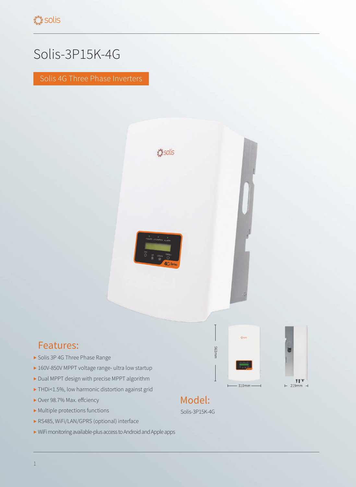## Solis-3P15K-4G

Solis 4G Three Phase Inverters



## Features:

- ▶ Solis 3P 4G Three Phase Range
- ▶ 160V-850V MPPT voltage range- ultra low startup
- ▶ Dual MPPT design with precise MPPT algorithm
- ▶ THDi<1.5%, low harmonic distortion against grid
- ▶ Over 98.7% Max. effciency
- ▶ Multiple protections functions
- ▶ RS485, WiFi/LAN/GPRS (optional) interface
- ▶ WiFi monitoring available-plus access to Android and Apple apps



mmf363



## Model:

Solis-3P15K-4G